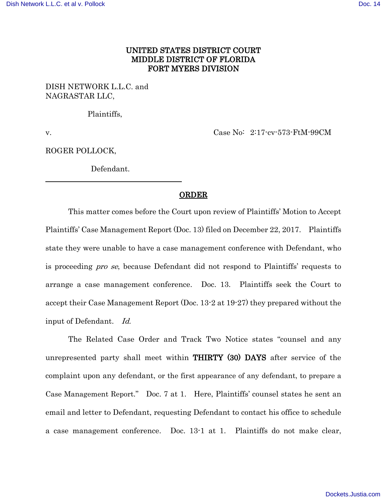## UNITED STATES DISTRICT COURT MIDDLE DISTRICT OF FLORIDA FORT MYERS DIVISION

DISH NETWORK L.L.C. and NAGRASTAR LLC,

Plaintiffs,

v. Case No: 2:17-cv-573-FtM-99CM

ROGER POLLOCK,

Defendant.

## ORDER

This matter comes before the Court upon review of Plaintiffs' Motion to Accept Plaintiffs' Case Management Report (Doc. 13) filed on December 22, 2017. Plaintiffs state they were unable to have a case management conference with Defendant, who is proceeding pro se, because Defendant did not respond to Plaintiffs' requests to arrange a case management conference. Doc. 13. Plaintiffs seek the Court to accept their Case Management Report (Doc. 13-2 at 19-27) they prepared without the input of Defendant. Id.

The Related Case Order and Track Two Notice states "counsel and any unrepresented party shall meet within THIRTY (30) DAYS after service of the complaint upon any defendant, or the first appearance of any defendant, to prepare a Case Management Report." Doc. 7 at 1. Here, Plaintiffs' counsel states he sent an email and letter to Defendant, requesting Defendant to contact his office to schedule a case management conference. Doc. 13-1 at 1. Plaintiffs do not make clear,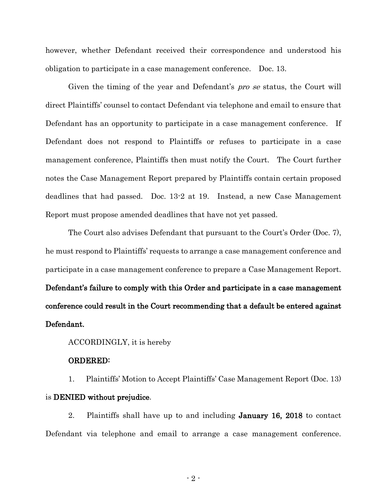however, whether Defendant received their correspondence and understood his obligation to participate in a case management conference. Doc. 13.

Given the timing of the year and Defendant's *pro se* status, the Court will direct Plaintiffs' counsel to contact Defendant via telephone and email to ensure that Defendant has an opportunity to participate in a case management conference. If Defendant does not respond to Plaintiffs or refuses to participate in a case management conference, Plaintiffs then must notify the Court. The Court further notes the Case Management Report prepared by Plaintiffs contain certain proposed deadlines that had passed. Doc. 13-2 at 19. Instead, a new Case Management Report must propose amended deadlines that have not yet passed.

The Court also advises Defendant that pursuant to the Court's Order (Doc. 7), he must respond to Plaintiffs' requests to arrange a case management conference and participate in a case management conference to prepare a Case Management Report. Defendant's failure to comply with this Order and participate in a case management conference could result in the Court recommending that a default be entered against Defendant.

ACCORDINGLY, it is hereby

## ORDERED:

1. Plaintiffs' Motion to Accept Plaintiffs' Case Management Report (Doc. 13) is DENIED without prejudice.

2. Plaintiffs shall have up to and including January 16, 2018 to contact Defendant via telephone and email to arrange a case management conference.

- 2 -